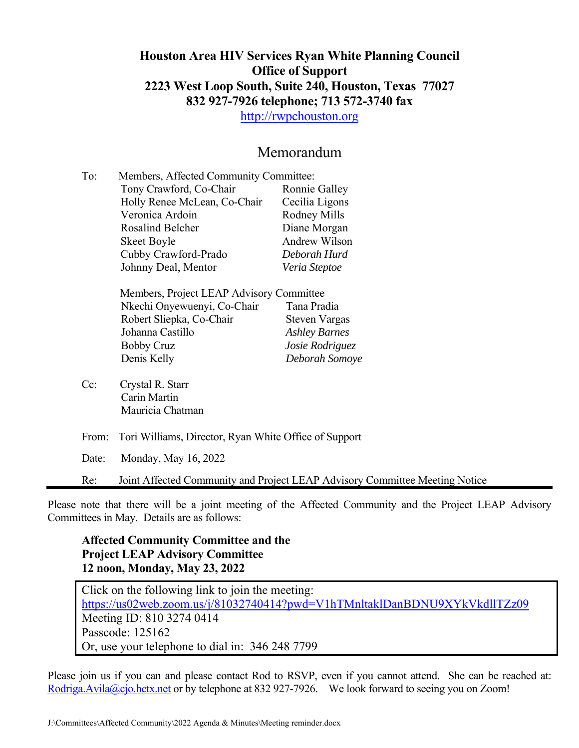#### **Houston Area HIV Services Ryan White Planning Council Office of Support 2223 West Loop South, Suite 240, Houston, Texas 77027 832 927-7926 telephone; 713 572-3740 fax**

http://rwpchouston.org

#### Memorandum

| To: | Members, Affected Community Committee: |                |  |  |  |
|-----|----------------------------------------|----------------|--|--|--|
|     | Tony Crawford, Co-Chair                | Ronnie Galley  |  |  |  |
|     | Holly Renee McLean, Co-Chair           | Cecilia Ligons |  |  |  |
|     | Veronica Ardoin                        | Rodney Mills   |  |  |  |
|     | <b>Rosalind Belcher</b>                | Diane Morgan   |  |  |  |
|     | <b>Skeet Boyle</b>                     | Andrew Wilson  |  |  |  |
|     | Cubby Crawford-Prado                   | Deborah Hurd   |  |  |  |
|     | Johnny Deal, Mentor                    | Veria Steptoe  |  |  |  |
|     |                                        |                |  |  |  |

| Members, Project LEAP Advisory Committee |                      |
|------------------------------------------|----------------------|
| Nkechi Onyewuenyi, Co-Chair              | Tana Pradia          |
| Robert Sliepka, Co-Chair                 | <b>Steven Vargas</b> |
| Johanna Castillo                         | <b>Ashley Barnes</b> |
| <b>Bobby Cruz</b>                        | Josie Rodriguez      |
| Denis Kelly                              | Deborah Somoye       |

- Cc: Crystal R. Starr Carin Martin Mauricia Chatman
- From: Tori Williams, Director, Ryan White Office of Support

Date: Monday, May 16, 2022

Re: Joint Affected Community and Project LEAP Advisory Committee Meeting Notice

Please note that there will be a joint meeting of the Affected Community and the Project LEAP Advisory Committees in May. Details are as follows:

#### **Affected Community Committee and the Project LEAP Advisory Committee 12 noon, Monday, May 23, 2022**

Click on the following link to join the meeting: https://us02web.zoom.us/j/81032740414?pwd=V1hTMnltaklDanBDNU9XYkVkdllTZz09 Meeting ID: 810 3274 0414 Passcode: 125162 Or, use your telephone to dial in: 346 248 7799

Please join us if you can and please contact Rod to RSVP, even if you cannot attend. She can be reached at: Rodriga.Avila@cjo.hctx.net or by telephone at 832 927-7926. We look forward to seeing you on Zoom!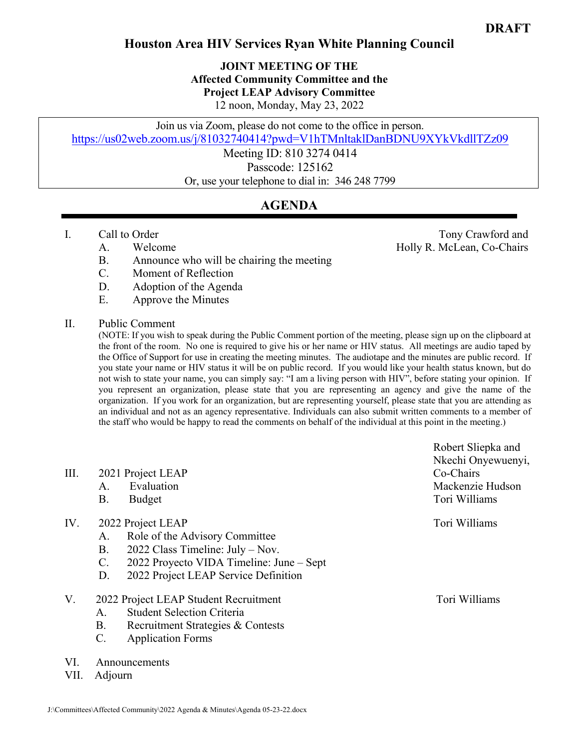#### **Houston Area HIV Services Ryan White Planning Council**

**JOINT MEETING OF THE Affected Community Committee and the Project LEAP Advisory Committee**  12 noon, Monday, May 23, 2022

Join us via Zoom, please do not come to the office in person.

https://us02web.zoom.us/j/81032740414?pwd=V1hTMnltaklDanBDNU9XYkVkdllTZz09

Meeting ID: 810 3274 0414 Passcode: 125162

Or, use your telephone to dial in: 346 248 7799

#### **AGENDA**

- -
	- B. Announce who will be chairing the meeting
	- C. Moment of Reflection
	- D. Adoption of the Agenda
	- E. Approve the Minutes

#### II. Public Comment

(NOTE: If you wish to speak during the Public Comment portion of the meeting, please sign up on the clipboard at the front of the room. No one is required to give his or her name or HIV status. All meetings are audio taped by the Office of Support for use in creating the meeting minutes. The audiotape and the minutes are public record. If you state your name or HIV status it will be on public record. If you would like your health status known, but do not wish to state your name, you can simply say: "I am a living person with HIV", before stating your opinion. If you represent an organization, please state that you are representing an agency and give the name of the organization. If you work for an organization, but are representing yourself, please state that you are attending as an individual and not as an agency representative. Individuals can also submit written comments to a member of the staff who would be happy to read the comments on behalf of the individual at this point in the meeting.)

| III.        | 2021 Project LEAP<br>Evaluation<br>A.<br>Β.<br><b>Budget</b>                                                                                                                                                             | Robert Sliepka and<br>Nkechi Onyewuenyi,<br>Co-Chairs<br>Mackenzie Hudson<br>Tori Williams |
|-------------|--------------------------------------------------------------------------------------------------------------------------------------------------------------------------------------------------------------------------|--------------------------------------------------------------------------------------------|
| IV.         | 2022 Project LEAP<br>Role of the Advisory Committee<br>A.<br>2022 Class Timeline: $July - Nov.$<br><b>B.</b><br>2022 Proyecto VIDA Timeline: June – Sept<br>$\mathbf{C}$ .<br>2022 Project LEAP Service Definition<br>D. | Tori Williams                                                                              |
| V.          | 2022 Project LEAP Student Recruitment<br><b>Student Selection Criteria</b><br>A.<br><b>B.</b><br>Recruitment Strategies & Contests<br><b>Application Forms</b><br>$\mathcal{C}$ .                                        | Tori Williams                                                                              |
| VI.<br>VII. | Announcements<br>Adjourn                                                                                                                                                                                                 |                                                                                            |

I. Call to Order Tony Crawford and Tony Crawford and Tony Crawford and Tony Crawford and Tony Crawford and Tony Crawford and Tony Crawford and Tony Crawford and Tony Crawford and Tony Crawford and Tony Crawford and Tony Cr A. Welcome Holly R. McLean, Co-Chairs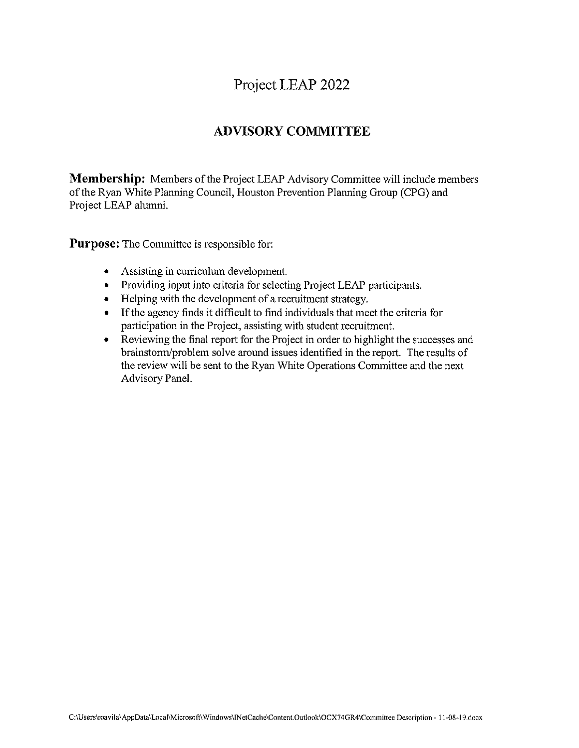#### Project LEAP 2022

#### **ADVISORY COMMITTEE**

**Membership:** Members of the Project LEAP Advisory Committee will include members of the Ryan White Planning Council, Houston Prevention Planning Group (CPG) and Project LEAP alumni.

**Purpose:** The Committee is responsible for:

- Assisting in curriculum development.
- Providing input into criteria for selecting Project LEAP participants.
- Helping with the development of a recruitment strategy.
- If the agency finds it difficult to find individuals that meet the criteria for participation in the Project, assisting with student recruitment.
- Reviewing the final report for the Project in order to highlight the successes and  $\bullet$ brainstorm/problem solve around issues identified in the report. The results of the review will be sent to the Ryan White Operations Committee and the next Advisory Panel.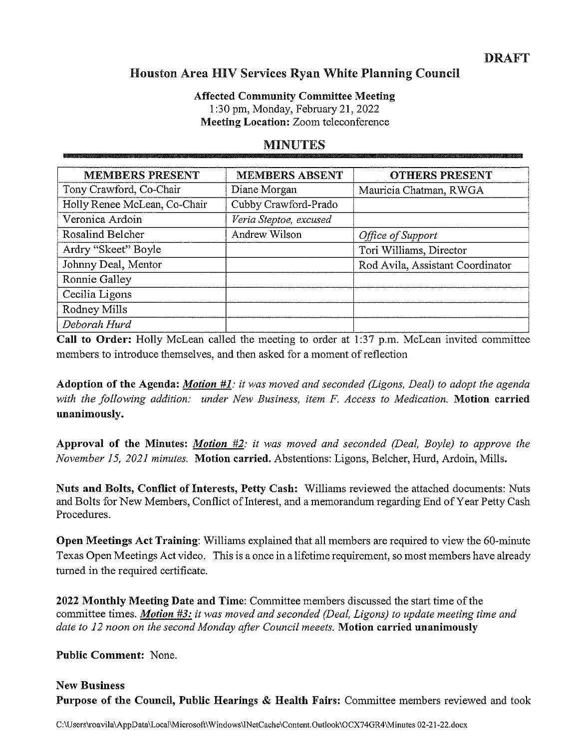#### **DRAFT**

#### **Houston Area HIV Services Ryan White Planning Council**

**Affected Community Committee Meeting** 1:30 pm, Monday, February 21, 2022

**Meeting Location: Zoom teleconference** 

#### **MINUTES**

| <b>MEMBERS PRESENT</b>       | <b>MEMBERS ABSENT</b>  | <b>OTHERS PRESENT</b>            |
|------------------------------|------------------------|----------------------------------|
| Tony Crawford, Co-Chair      | Diane Morgan           | Mauricia Chatman, RWGA           |
| Holly Renee McLean, Co-Chair | Cubby Crawford-Prado   |                                  |
| Veronica Ardoin              | Veria Steptoe, excused |                                  |
| Rosalind Belcher             | Andrew Wilson          | Office of Support                |
| Ardry "Skeet" Boyle          |                        | Tori Williams, Director          |
| Johnny Deal, Mentor          |                        | Rod Avila, Assistant Coordinator |
| Ronnie Galley                |                        |                                  |
| Cecilia Ligons               |                        |                                  |
| Rodney Mills                 |                        |                                  |
| Deborah Hurd                 |                        |                                  |

Call to Order: Holly McLean called the meeting to order at 1:37 p.m. McLean invited committee members to introduce themselves, and then asked for a moment of reflection

**Adoption of the Agenda: Motion #1**: it was moved and seconded (Ligons, Deal) to adopt the agenda with the following addition: under New Business, item F. Access to Medication. Motion carried unanimously.

**Approval of the Minutes: Motion #2**: it was moved and seconded (Deal, Boyle) to approve the November 15, 2021 minutes. Motion carried. Abstentions: Ligons, Belcher, Hurd, Ardoin, Mills.

Nuts and Bolts, Conflict of Interests, Petty Cash: Williams reviewed the attached documents: Nuts and Bolts for New Members, Conflict of Interest, and a memorandum regarding End of Year Petty Cash Procedures.

Open Meetings Act Training: Williams explained that all members are required to view the 60-minute Texas Open Meetings Act video. This is a once in a lifetime requirement, so most members have already turned in the required certificate.

2022 Monthly Meeting Date and Time: Committee members discussed the start time of the committee times. Motion #3: it was moved and seconded (Deal, Ligons) to update meeting time and date to 12 noon on the second Monday after Council meeets. Motion carried unanimously

**Public Comment: None.** 

**New Business Purpose of the Council, Public Hearings & Health Fairs:** Committee members reviewed and took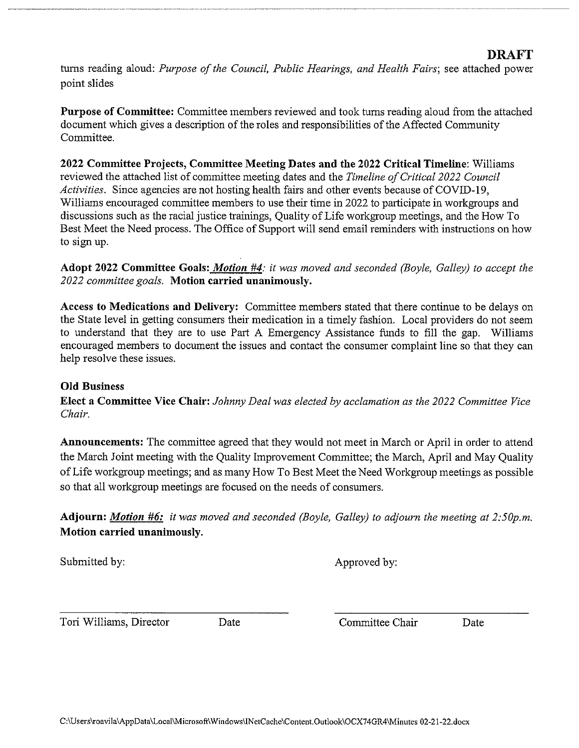turns reading aloud: Purpose of the Council, Public Hearings, and Health Fairs; see attached power point slides

**Purpose of Committee:** Committee members reviewed and took turns reading aloud from the attached document which gives a description of the roles and responsibilities of the Affected Community Committee.

2022 Committee Projects, Committee Meeting Dates and the 2022 Critical Timeline: Williams reviewed the attached list of committee meeting dates and the Timeline of Critical 2022 Council Activities. Since agencies are not hosting health fairs and other events because of COVID-19, Williams encouraged committee members to use their time in 2022 to participate in workgroups and discussions such as the racial justice trainings, Quality of Life workgroup meetings, and the How To Best Meet the Need process. The Office of Support will send email reminders with instructions on how to sign up.

Adopt 2022 Committee Goals: Motion #4: it was moved and seconded (Boyle, Galley) to accept the 2022 committee goals. Motion carried unanimously.

Access to Medications and Delivery: Committee members stated that there continue to be delays on the State level in getting consumers their medication in a timely fashion. Local providers do not seem to understand that they are to use Part A Emergency Assistance funds to fill the gap. Williams encouraged members to document the issues and contact the consumer complaint line so that they can help resolve these issues.

#### **Old Business**

**Elect a Committee Vice Chair:** Johnny Deal was elected by acclamation as the 2022 Committee Vice Chair.

**Announcements:** The committee agreed that they would not meet in March or April in order to attend the March Joint meeting with the Quality Improvement Committee; the March, April and May Quality of Life workgroup meetings; and as many How To Best Meet the Need Workgroup meetings as possible so that all workgroup meetings are focused on the needs of consumers.

Adjourn: Motion #6: it was moved and seconded (Boyle, Galley) to adjourn the meeting at 2:50p.m. Motion carried unanimously.

Submitted by:

Approved by:

Tori Williams, Director

Date

Committee Chair

Date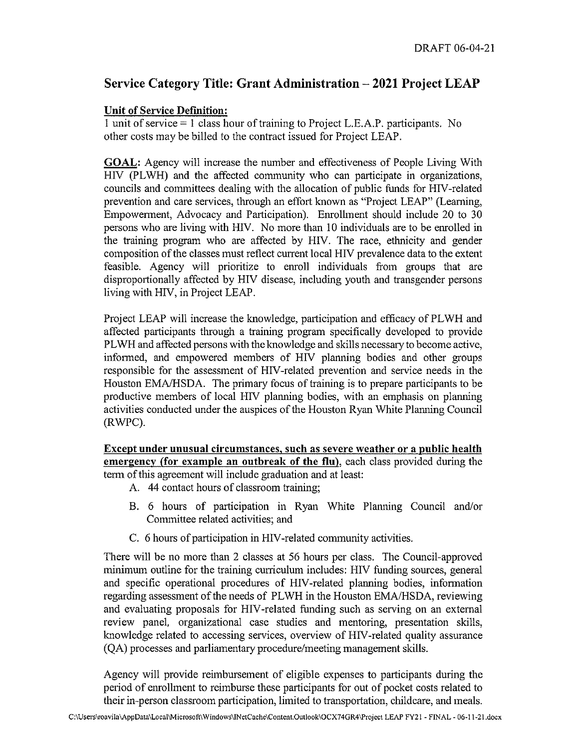#### Service Category Title: Grant Administration – 2021 Project LEAP

#### **Unit of Service Definition:**

1 unit of service  $= 1$  class hour of training to Project L.E.A.P. participants. No other costs may be billed to the contract issued for Project LEAP.

**GOAL:** Agency will increase the number and effectiveness of People Living With HIV (PLWH) and the affected community who can participate in organizations, councils and committees dealing with the allocation of public funds for HIV-related prevention and care services, through an effort known as "Project LEAP" (Learning, Empowerment, Advocacy and Participation). Enrollment should include 20 to 30 persons who are living with HIV. No more than 10 individuals are to be enrolled in the training program who are affected by HIV. The race, ethnicity and gender composition of the classes must reflect current local HIV prevalence data to the extent feasible. Agency will prioritize to enroll individuals from groups that are disproportionally affected by HIV disease, including youth and transgender persons living with HIV, in Project LEAP.

Project LEAP will increase the knowledge, participation and efficacy of PLWH and affected participants through a training program specifically developed to provide PLWH and affected persons with the knowledge and skills necessary to become active, informed, and empowered members of HIV planning bodies and other groups responsible for the assessment of HIV-related prevention and service needs in the Houston EMA/HSDA. The primary focus of training is to prepare participants to be productive members of local HIV planning bodies, with an emphasis on planning activities conducted under the auspices of the Houston Ryan White Planning Council (RWPC).

Except under unusual circumstances, such as severe weather or a public health emergency (for example an outbreak of the flu), each class provided during the term of this agreement will include graduation and at least:

- A. 44 contact hours of classroom training:
- B. 6 hours of participation in Ryan White Planning Council and/or Committee related activities; and
- C. 6 hours of participation in HIV-related community activities.

There will be no more than 2 classes at 56 hours per class. The Council-approved minimum outline for the training curriculum includes: HIV funding sources, general and specific operational procedures of HIV-related planning bodies, information regarding assessment of the needs of PLWH in the Houston EMA/HSDA, reviewing and evaluating proposals for HIV-related funding such as serving on an external review panel, organizational case studies and mentoring, presentation skills, knowledge related to accessing services, overview of HIV-related quality assurance (QA) processes and parliamentary procedure/meeting management skills.

Agency will provide reimbursement of eligible expenses to participants during the period of enrollment to reimburse these participants for out of pocket costs related to their in-person classroom participation, limited to transportation, childcare, and meals.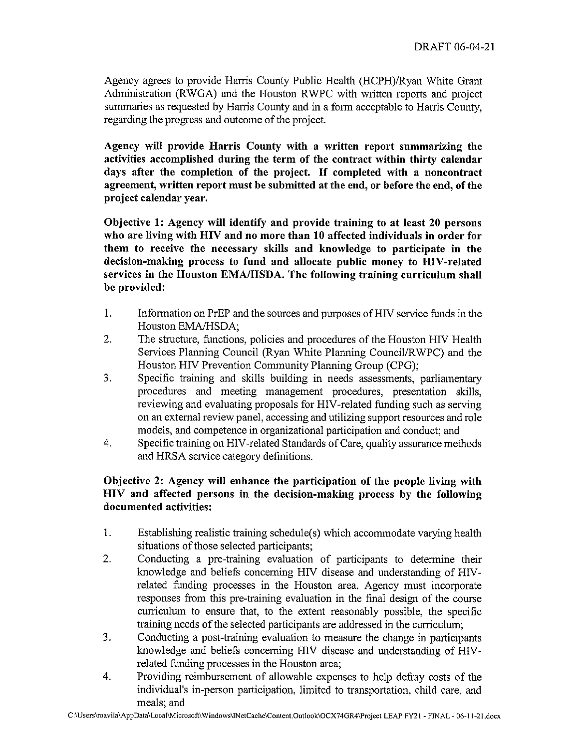Agency agrees to provide Harris County Public Health (HCPH)/Ryan White Grant Administration (RWGA) and the Houston RWPC with written reports and project summaries as requested by Harris County and in a form acceptable to Harris County. regarding the progress and outcome of the project.

Agency will provide Harris County with a written report summarizing the activities accomplished during the term of the contract within thirty calendar days after the completion of the project. If completed with a noncontract agreement, written report must be submitted at the end, or before the end, of the project calendar year.

Objective 1: Agency will identify and provide training to at least 20 persons who are living with HIV and no more than 10 affected individuals in order for them to receive the necessary skills and knowledge to participate in the decision-making process to fund and allocate public money to HIV-related services in the Houston EMA/HSDA. The following training curriculum shall be provided:

- 1. Information on PrEP and the sources and purposes of HIV service funds in the Houston EMA/HSDA;
- $2.$ The structure, functions, policies and procedures of the Houston HIV Health Services Planning Council (Ryan White Planning Council/RWPC) and the Houston HIV Prevention Community Planning Group (CPG);
- $3.$ Specific training and skills building in needs assessments, parliamentary procedures and meeting management procedures, presentation skills, reviewing and evaluating proposals for HIV-related funding such as serving on an external review panel, accessing and utilizing support resources and role models, and competence in organizational participation and conduct; and
- Specific training on HIV-related Standards of Care, quality assurance methods 4. and HRSA service category definitions.

#### Objective 2: Agency will enhance the participation of the people living with HIV and affected persons in the decision-making process by the following documented activities:

- $1<sub>1</sub>$ Establishing realistic training schedule(s) which accommodate varying health situations of those selected participants;
- Conducting a pre-training evaluation of participants to determine their  $2.$ knowledge and beliefs concerning HIV disease and understanding of HIVrelated funding processes in the Houston area. Agency must incorporate responses from this pre-training evaluation in the final design of the course curriculum to ensure that, to the extent reasonably possible, the specific training needs of the selected participants are addressed in the curriculum;
- Conducting a post-training evaluation to measure the change in participants  $3<sub>1</sub>$ knowledge and beliefs concerning HIV disease and understanding of HIVrelated funding processes in the Houston area;
- Providing reimbursement of allowable expenses to help defray costs of the  $4.$ individual's in-person participation, limited to transportation, child care, and meals; and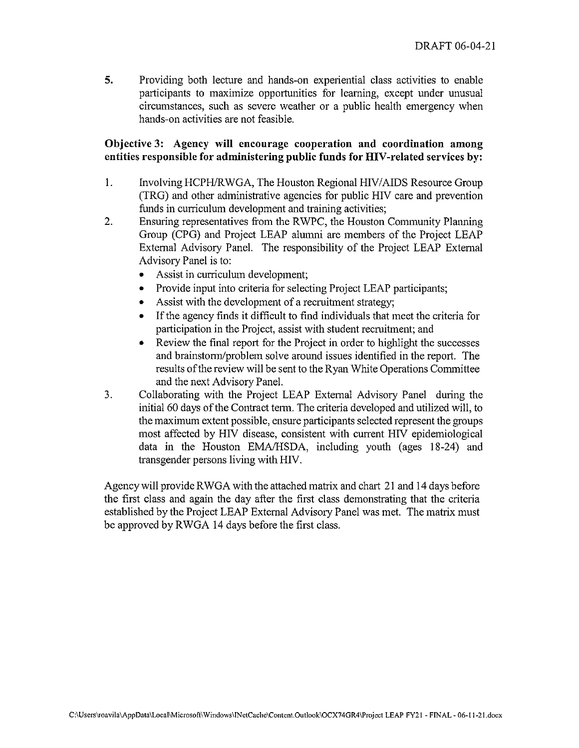5. Providing both lecture and hands-on experiential class activities to enable participants to maximize opportunities for learning, except under unusual circumstances, such as severe weather or a public health emergency when hands-on activities are not feasible.

#### Objective 3: Agency will encourage cooperation and coordination among entities responsible for administering public funds for HIV-related services by:

- 1. Involving HCPH/RWGA, The Houston Regional HIV/AIDS Resource Group (TRG) and other administrative agencies for public HIV care and prevention funds in curriculum development and training activities;
- $\overline{2}$ . Ensuring representatives from the RWPC, the Houston Community Planning Group (CPG) and Project LEAP alumni are members of the Project LEAP External Advisory Panel. The responsibility of the Project LEAP External Advisory Panel is to:
	- Assist in curriculum development;
	- Provide input into criteria for selecting Project LEAP participants;
	- Assist with the development of a recruitment strategy;
	- If the agency finds it difficult to find individuals that meet the criteria for  $\bullet$ participation in the Project, assist with student recruitment; and
	- Review the final report for the Project in order to highlight the successes and brainstorm/problem solve around issues identified in the report. The results of the review will be sent to the Ryan White Operations Committee and the next Advisory Panel.
- Collaborating with the Project LEAP External Advisory Panel during the  $3.$ initial 60 days of the Contract term. The criteria developed and utilized will, to the maximum extent possible, ensure participants selected represent the groups most affected by HIV disease, consistent with current HIV epidemiological data in the Houston EMA/HSDA, including youth (ages 18-24) and transgender persons living with HIV.

Agency will provide RWGA with the attached matrix and chart 21 and 14 days before the first class and again the day after the first class demonstrating that the criteria established by the Project LEAP External Advisory Panel was met. The matrix must be approved by RWGA 14 days before the first class.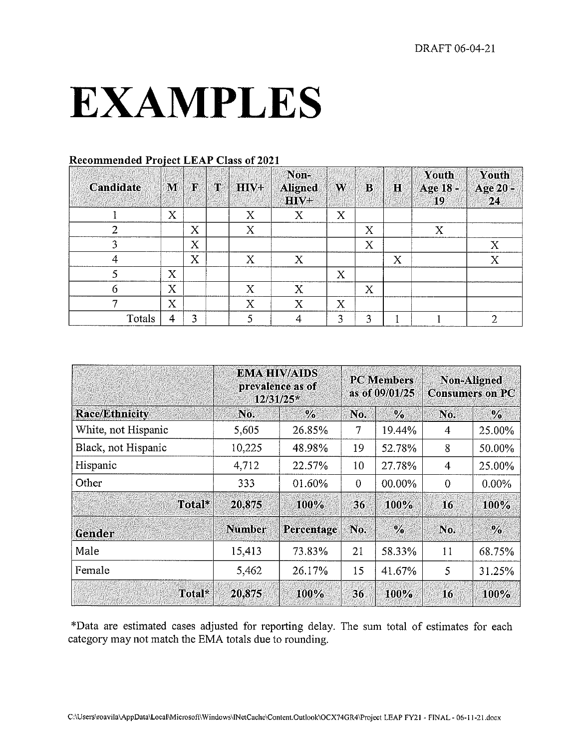## **EXAMPLES**

| Candidate | M                         | $\mathbf{F}$ | $\mathbf T$ | HIV+ | Non-<br><b>Aligned</b><br>$HIV+$ | W                         | $\mathbf{B}$ | $\bf H$ | Youth<br>Age 18 -<br>19 | Youth<br>Age 20 -<br>24 |
|-----------|---------------------------|--------------|-------------|------|----------------------------------|---------------------------|--------------|---------|-------------------------|-------------------------|
|           | $\boldsymbol{\mathrm{X}}$ |              |             | X    | $\boldsymbol{\mathrm{X}}$        | X                         |              |         |                         |                         |
|           |                           | X            |             | X    |                                  |                           | X            |         | X                       |                         |
| ٩         |                           | $\rm X$      |             |      |                                  |                           | $\mathbf X$  |         |                         | Χ                       |
| 4         |                           | X            |             | X    | X                                |                           |              | X       |                         | X                       |
|           | $\boldsymbol{\mathrm{X}}$ |              |             |      |                                  | $\boldsymbol{\mathrm{X}}$ |              |         |                         |                         |
| 6         | X                         |              |             | Х    | Х                                |                           | X            |         |                         |                         |
|           | X                         |              |             | Х    | X                                | X                         |              |         |                         |                         |
| Totals    | 4                         | 3            |             |      |                                  | 3                         | 3            |         |                         | റ                       |

#### **Recommended Project LEAP Class of 2021**

|                       | $12/31/25*$   | <b>EMA HIV/AIDS</b><br>prevalence as of |                 | <b>PC</b> Members<br>as of 09/01/25 | <b>Non-Aligned</b> | <b>Consumers on PC</b> |
|-----------------------|---------------|-----------------------------------------|-----------------|-------------------------------------|--------------------|------------------------|
| <b>Race/Ethnicity</b> | No.           | $\frac{0}{2}$                           | No.             | $\frac{0}{2}$                       | No.                | $\frac{0}{0}$          |
| White, not Hispanic   | 5,605         | 26.85%                                  | 7               | 19.44%                              | 4                  | 25.00%                 |
| Black, not Hispanic   | 10,225        | 48.98%                                  | 19              | 52.78%                              | 8                  | 50.00%                 |
| Hispanic              | 4,712         | 22.57%                                  | 10              | 27.78%                              | 4                  | 25.00%                 |
| Other                 | 333           | 01.60%                                  | $\overline{0}$  | 00.00%                              | $\boldsymbol{0}$   | 0.00%                  |
| Total*                | 20,875        | 100%                                    | 36 <sub>1</sub> | $100\%$                             | 16                 | 100%                   |
| Gender                | <b>Number</b> | Percentage                              | No.             | $\frac{0}{0}$                       | No.                | $\frac{0}{0}$          |
| Male                  | 15,413        | 73.83%                                  | 21              | 58.33%                              | 11                 | 68.75%                 |
| Female                | 5,462         | 26.17%                                  | 15              | 41.67%                              | 5                  | 31.25%                 |
| Total*                | 20,875        | <b>100%</b>                             | 36              | <b>100%</b>                         | 16                 | <b>100%</b>            |

\*Data are estimated cases adjusted for reporting delay. The sum total of estimates for each category may not match the EMA totals due to rounding.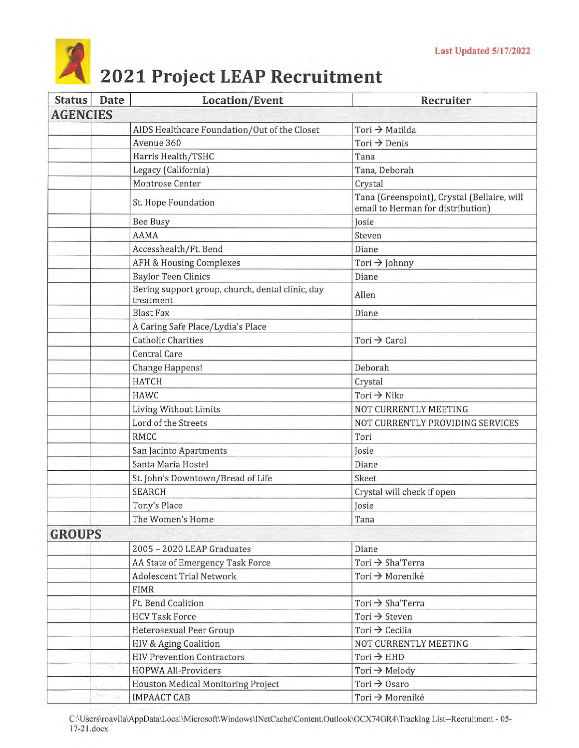# 2021 Project LEAP Recruitment

| <b>Status</b>   | Date  | Location/Event                                                | Recruiter                                                                        |
|-----------------|-------|---------------------------------------------------------------|----------------------------------------------------------------------------------|
| <b>AGENCIES</b> |       |                                                               |                                                                                  |
|                 |       | AIDS Healthcare Foundation/Out of the Closet                  | Tori → Matilda                                                                   |
|                 |       | Avenue 360                                                    | Tori $\rightarrow$ Denis                                                         |
|                 |       | Harris Health/TSHC                                            | Tana                                                                             |
|                 |       | Legacy (California)                                           | Tana, Deborah                                                                    |
|                 |       | Montrose Center                                               | Crystal                                                                          |
|                 |       | St. Hope Foundation                                           | Tana (Greenspoint), Crystal (Bellaire, will<br>email to Herman for distribution) |
|                 |       | <b>Bee Busy</b>                                               | Josie                                                                            |
|                 |       | <b>AAMA</b>                                                   | Steven                                                                           |
|                 |       | Accesshealth/Ft. Bend                                         | Diane                                                                            |
|                 |       | <b>AFH &amp; Housing Complexes</b>                            | Tori $\rightarrow$ Johnny                                                        |
|                 |       | <b>Baylor Teen Clinics</b>                                    | Diane                                                                            |
|                 |       | Bering support group, church, dental clinic, day<br>treatment | Allen                                                                            |
|                 |       | <b>Blast Fax</b>                                              | Diane                                                                            |
|                 |       | A Caring Safe Place/Lydia's Place                             |                                                                                  |
|                 |       | <b>Catholic Charities</b>                                     | Tori $\rightarrow$ Carol                                                         |
|                 |       | <b>Central Care</b>                                           |                                                                                  |
|                 |       | Change Happens!                                               | Deborah                                                                          |
|                 |       | <b>HATCH</b>                                                  | Crystal                                                                          |
|                 |       | <b>HAWC</b>                                                   | Tori $\rightarrow$ Nike                                                          |
|                 |       | Living Without Limits                                         | NOT CURRENTLY MEETING                                                            |
|                 |       | Lord of the Streets                                           | NOT CURRENTLY PROVIDING SERVICES                                                 |
|                 |       | <b>RMCC</b>                                                   | Tori                                                                             |
|                 |       | San Jacinto Apartments                                        | Josie                                                                            |
|                 |       | Santa Maria Hostel                                            | Diane                                                                            |
|                 |       | St. John's Downtown/Bread of Life                             | Skeet                                                                            |
|                 |       | <b>SEARCH</b>                                                 | Crystal will check if open                                                       |
|                 |       | Tony's Place                                                  | Josie                                                                            |
|                 |       | The Women's Home                                              | Tana                                                                             |
| <b>GROUPS</b>   |       |                                                               |                                                                                  |
|                 |       | 2005 - 2020 LEAP Graduates                                    | Diane                                                                            |
|                 |       | AA State of Emergency Task Force                              | Tori $\rightarrow$ Sha'Terra                                                     |
|                 |       | <b>Adolescent Trial Network</b>                               | Tori → Moreniké                                                                  |
|                 |       | <b>FIMR</b>                                                   |                                                                                  |
|                 |       | Ft. Bend Coalition                                            | Tori → Sha'Terra                                                                 |
|                 |       | <b>HCV Task Force</b>                                         | Tori $\rightarrow$ Steven                                                        |
|                 |       | <b>Heterosexual Peer Group</b>                                | Tori $\rightarrow$ Cecilia                                                       |
|                 |       | HIV & Aging Coalition                                         | NOT CURRENTLY MEETING                                                            |
|                 |       | <b>HIV Prevention Contractors</b>                             | $Tori \rightarrow HHD$                                                           |
|                 |       | <b>HOPWA All-Providers</b>                                    | Tori $\rightarrow$ Melody                                                        |
|                 |       | Houston Medical Monitoring Project                            | Tori $\rightarrow$ Osaro                                                         |
|                 | tello | <b>IMPAACT CAB</b>                                            | Tori → Moreniké                                                                  |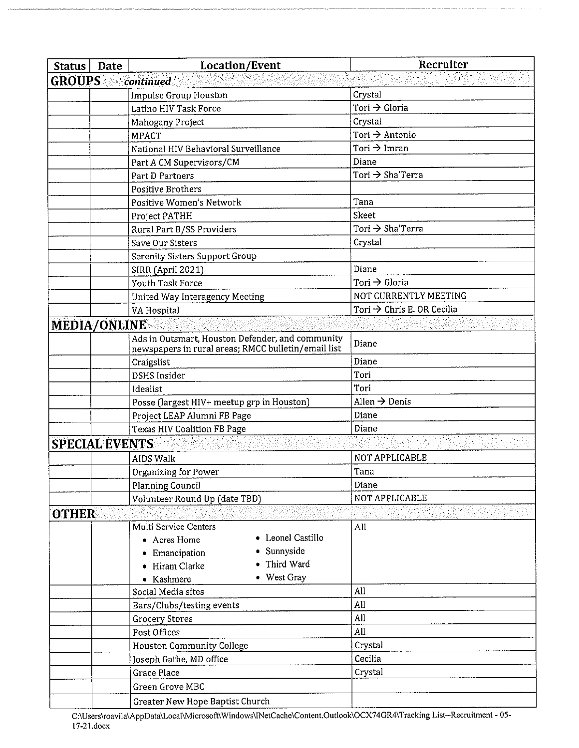| Status                | Date | Location/Event                                      | Recruiter                              |
|-----------------------|------|-----------------------------------------------------|----------------------------------------|
| <b>GROUPS</b>         |      | continued                                           |                                        |
|                       |      | Impulse Group Houston                               | Crystal                                |
|                       |      | Latino HIV Task Force                               | Tori → Gloria                          |
|                       |      | Mahogany Project                                    | Crystal                                |
|                       |      | <b>MPACT</b>                                        | Tori $\rightarrow$ Antonio             |
|                       |      | National HIV Behavioral Surveillance                | Tori $\rightarrow$ Imran               |
|                       |      | Part A CM Supervisors/CM                            | Diane                                  |
|                       |      | Part D Partners                                     | Tori → Sha'Terra                       |
|                       |      | <b>Positive Brothers</b>                            |                                        |
|                       |      | Positive Women's Network                            | Tana                                   |
|                       |      | Project PATHH                                       | Skeet                                  |
|                       |      | Rural Part B/SS Providers                           | Tori → Sha'Terra                       |
|                       |      | Save Our Sisters                                    | Crystal                                |
|                       |      | <b>Serenity Sisters Support Group</b>               |                                        |
|                       |      | SIRR (April 2021)                                   | Diane                                  |
|                       |      | Youth Task Force                                    | Tori $\rightarrow$ Gloria              |
|                       |      | United Way Interagency Meeting                      | NOT CURRENTLY MEETING                  |
|                       |      | VA Hospital                                         | Tori $\rightarrow$ Chris E. OR Cecilia |
| <b>MEDIA/ONLINE</b>   |      |                                                     |                                        |
|                       |      | Ads in Outsmart, Houston Defender, and community    | Diane                                  |
|                       |      | newspapers in rural areas; RMCC bulletin/email list |                                        |
|                       |      | Craigslist                                          | Diane                                  |
|                       |      | <b>DSHS</b> Insider                                 | Tori                                   |
|                       |      | Idealist                                            | Tori                                   |
|                       |      | Posse (largest HIV+ meetup grp in Houston)          | Allen $\rightarrow$ Denis              |
|                       |      | Project LEAP Alumni FB Page                         | Diane                                  |
|                       |      | <b>Texas HIV Coalition FB Page</b>                  | Diane                                  |
| <b>SPECIAL EVENTS</b> |      |                                                     |                                        |
|                       |      | <b>AIDS Walk</b>                                    | NOT APPLICABLE                         |
|                       |      | Organizing for Power                                | Tana                                   |
|                       |      | Planning Council                                    | Diane                                  |
|                       |      | Volunteer Round Up (date TBD)                       | NOT APPLICABLE                         |
| <b>OTHER</b>          |      |                                                     |                                        |
|                       |      | Multi Service Centers                               | All                                    |
|                       |      | • Leonel Castillo<br>• Acres Home                   |                                        |
|                       |      | • Sunnyside<br>Emancipation                         |                                        |
|                       |      | • Third Ward<br>• Hiram Clarke                      |                                        |
|                       |      | • West Gray<br>• Kashmere                           |                                        |
|                       |      | Social Media sites                                  | All                                    |
|                       |      | Bars/Clubs/testing events                           | All                                    |
|                       |      | <b>Grocery Stores</b>                               | All                                    |
|                       |      | Post Offices                                        | All                                    |
|                       |      | <b>Houston Community College</b>                    | Crystal                                |
|                       |      | Joseph Gathe, MD office                             | Cecilia                                |
|                       |      | <b>Grace Place</b>                                  | Crystal                                |
|                       |      | Green Grove MBC                                     |                                        |
|                       |      | Greater New Hope Baptist Church                     |                                        |

C:\Users\roavila\AppData\Local\Microsoft\Windows\INetCache\Content.Outlook\OCX74GR4\Tracking List--Recruitment - 05-<br>17-21.docx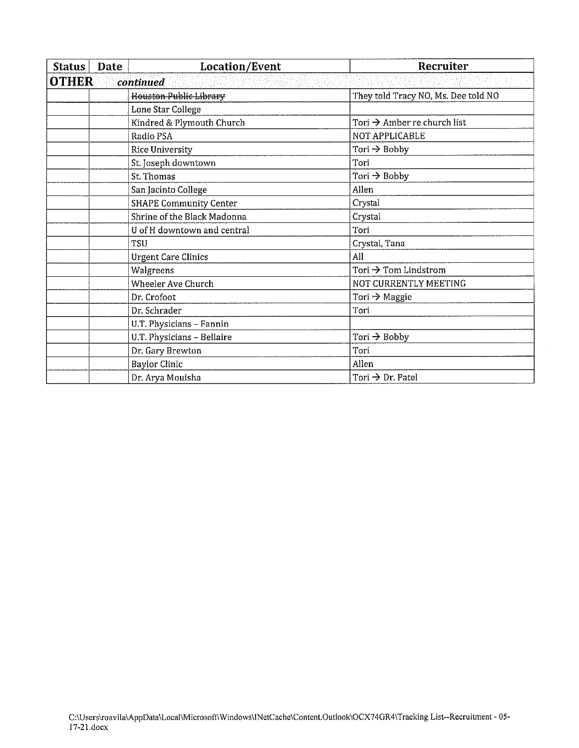| <b>Status</b> | Date                      | <b>Location/Event</b>         | Recruiter                               |  |  |  |  |
|---------------|---------------------------|-------------------------------|-----------------------------------------|--|--|--|--|
|               | <b>OTHER</b><br>continued |                               |                                         |  |  |  |  |
|               |                           | <b>Houston Public Library</b> | They told Tracy NO, Ms. Dee told NO     |  |  |  |  |
|               |                           | Lone Star College             |                                         |  |  |  |  |
|               |                           | Kindred & Plymouth Church     | Tori $\rightarrow$ Amber re church list |  |  |  |  |
|               |                           | Radio PSA                     | NOT APPLICABLE                          |  |  |  |  |
|               |                           | Rice University               | Tori $\rightarrow$ Bobby                |  |  |  |  |
|               |                           | St. Joseph downtown           | Tori                                    |  |  |  |  |
|               |                           | St. Thomas                    | Tori $\rightarrow$ Bobby                |  |  |  |  |
|               |                           | San Jacinto College           | Allen                                   |  |  |  |  |
|               |                           | <b>SHAPE Community Center</b> | Crystal                                 |  |  |  |  |
|               |                           | Shrine of the Black Madonna   | Crystal                                 |  |  |  |  |
|               |                           | U of H downtown and central   | Tori                                    |  |  |  |  |
|               |                           | TSU                           | Crystal, Tana                           |  |  |  |  |
|               |                           | <b>Urgent Care Clinics</b>    | All                                     |  |  |  |  |
|               |                           | Walgreens                     | Tori → Tom Lindstrom                    |  |  |  |  |
|               |                           | Wheeler Ave Church            | NOT CURRENTLY MEETING                   |  |  |  |  |
|               |                           | Dr. Crofoot                   | Tori $\rightarrow$ Maggie               |  |  |  |  |
|               |                           | Dr. Schrader                  | Tori                                    |  |  |  |  |
|               |                           | U.T. Physicians - Fannin      |                                         |  |  |  |  |
|               |                           | U.T. Physicians - Bellaire    | Tori $\rightarrow$ Bobby                |  |  |  |  |
|               |                           | Dr. Gary Brewton              | Tori                                    |  |  |  |  |
|               |                           | <b>Baylor Clinic</b>          | Allen                                   |  |  |  |  |
|               |                           | Dr. Arya Mouisha              | Tori $\rightarrow$ Dr. Patel            |  |  |  |  |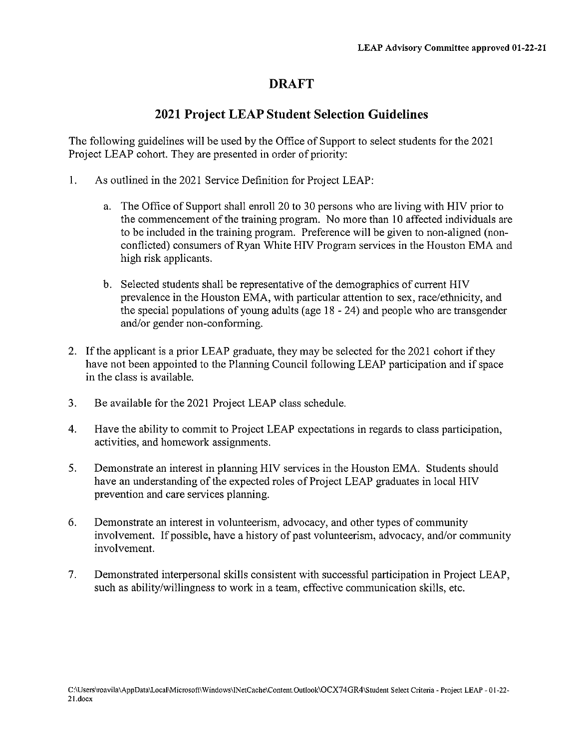#### **DRAFT**

#### **2021 Project LEAP Student Selection Guidelines**

The following guidelines will be used by the Office of Support to select students for the 2021 Project LEAP cohort. They are presented in order of priority:

- $\mathbf{1}$ . As outlined in the 2021 Service Definition for Project LEAP:
	- a. The Office of Support shall enroll 20 to 30 persons who are living with HIV prior to the commencement of the training program. No more than 10 affected individuals are to be included in the training program. Preference will be given to non-aligned (nonconflicted) consumers of Ryan White HIV Program services in the Houston EMA and high risk applicants.
	- b. Selected students shall be representative of the demographics of current HIV prevalence in the Houston EMA, with particular attention to sex, race/ethnicity, and the special populations of young adults (age  $18 - 24$ ) and people who are transgender and/or gender non-conforming.
- 2. If the applicant is a prior LEAP graduate, they may be selected for the 2021 cohort if they have not been appointed to the Planning Council following LEAP participation and if space in the class is available.
- $3<sub>1</sub>$ Be available for the 2021 Project LEAP class schedule.
- $4.$ Have the ability to commit to Project LEAP expectations in regards to class participation, activities, and homework assignments.
- 5. Demonstrate an interest in planning HIV services in the Houston EMA. Students should have an understanding of the expected roles of Project LEAP graduates in local HIV prevention and care services planning.
- 6. Demonstrate an interest in volunteerism, advocacy, and other types of community involvement. If possible, have a history of past volunteerism, advocacy, and/or community involvement.
- $7<sub>1</sub>$ Demonstrated interpersonal skills consistent with successful participation in Project LEAP, such as ability/willingness to work in a team, effective communication skills, etc.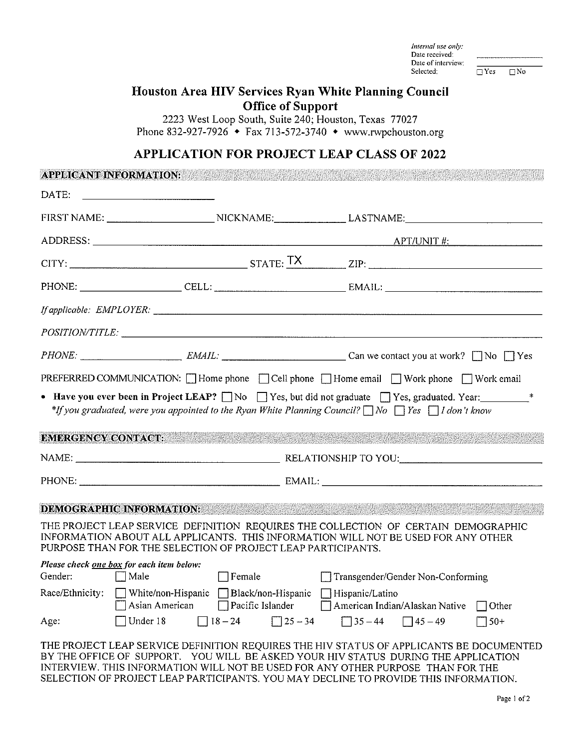Internal use only: Date received: Date of interview: Selected:

<u>a se en mussa a con</u>

 $T<sub>Yes</sub>$  $\Box$  No

#### Houston Area HIV Services Ryan White Planning Council **Office of Support**

2223 West Loop South, Suite 240; Houston, Texas 77027 Phone 832-927-7926  $\bullet$  Fax 713-572-3740  $\bullet$  www.rwpchouston.org

#### **APPLICATION FOR PROJECT LEAP CLASS OF 2022**

*Charles and an annual contract* 

| APPEIUANT INFORMATION.    |                                                                                         |                                             |                                                                                                                                                                                                                                                                  |  |
|---------------------------|-----------------------------------------------------------------------------------------|---------------------------------------------|------------------------------------------------------------------------------------------------------------------------------------------------------------------------------------------------------------------------------------------------------------------|--|
|                           |                                                                                         |                                             |                                                                                                                                                                                                                                                                  |  |
|                           |                                                                                         |                                             | FIRST NAME: __________________________NICKNAME: _________________LASTNAME: _________________________                                                                                                                                                             |  |
|                           |                                                                                         |                                             |                                                                                                                                                                                                                                                                  |  |
|                           |                                                                                         |                                             | $CITY:$ $ZIP:$ $ZIP:$ $ZIP:$                                                                                                                                                                                                                                     |  |
|                           |                                                                                         |                                             |                                                                                                                                                                                                                                                                  |  |
|                           |                                                                                         |                                             | If applicable: EMPLOYER:                                                                                                                                                                                                                                         |  |
|                           |                                                                                         |                                             |                                                                                                                                                                                                                                                                  |  |
|                           |                                                                                         |                                             |                                                                                                                                                                                                                                                                  |  |
|                           |                                                                                         |                                             | PREFERRED COMMUNICATION: $\Box$ Home phone $\Box$ Cell phone $\Box$ Home email $\Box$ Work phone $\Box$ Work email                                                                                                                                               |  |
|                           |                                                                                         |                                             | • Have you ever been in Project LEAP? $\Box$ No $\Box$ Yes, but did not graduate $\Box$ Yes, graduated. Year:<br>*If you graduated, were you appointed to the Ryan White Planning Council? $\Box$ No $\Box$ Yes $\Box$ I don't know                              |  |
| <b>EMERGENCY CONTACT:</b> |                                                                                         |                                             |                                                                                                                                                                                                                                                                  |  |
|                           |                                                                                         |                                             |                                                                                                                                                                                                                                                                  |  |
|                           |                                                                                         |                                             |                                                                                                                                                                                                                                                                  |  |
|                           | <b>DEMOGRAPHIC INFORMATION:</b>                                                         |                                             | .<br>In the company of the company of the company of the company of the company of the company of the company of th                                                                                                                                              |  |
|                           | PURPOSE THAN FOR THE SELECTION OF PROJECT LEAP PARTICIPANTS.                            |                                             | THE PROJECT LEAP SERVICE DEFINITION REQUIRES THE COLLECTION OF CERTAIN DEMOGRAPHIC<br>INFORMATION ABOUT ALL APPLICANTS. THIS INFORMATION WILL NOT BE USED FOR ANY OTHER                                                                                          |  |
| Gender: Male              | Please check one box for each item below:                                               | $\Box$ Female                               | Transgender/Gender Non-Conforming                                                                                                                                                                                                                                |  |
|                           | Race/Ethnicity: White/non-Hispanic Black/non-Hispanic Hispanic/Latino<br>Asian American | Pacific Islander                            | American Indian/Alaskan Native<br>$\Box$ Other                                                                                                                                                                                                                   |  |
| Age:                      | Under 18                                                                                | $\sqrt{18-24}$<br>$\boxed{\square} 25 - 34$ | $\Box$ 35 – 44<br>$\Box$ 45 – 49<br>$150+$                                                                                                                                                                                                                       |  |
|                           |                                                                                         |                                             | THE PROJECT LEAP SERVICE DEFINITION REQUIRES THE HIV STATUS OF APPLICANTS BE DOCUMENTED<br>BY THE OFFICE OF SUPPORT. YOU WILL BE ASKED YOUR HIV STATUS DURING THE APPLICATION<br>INTERVIEW. THIS INFORMATION WILL NOT BE USED FOR ANY OTHER PURPOSE THAN FOR THE |  |

SELECTION OF PROJECT LEAP PARTICIPANTS. YOU MAY DECLINE TO PROVIDE THIS INFORMATION.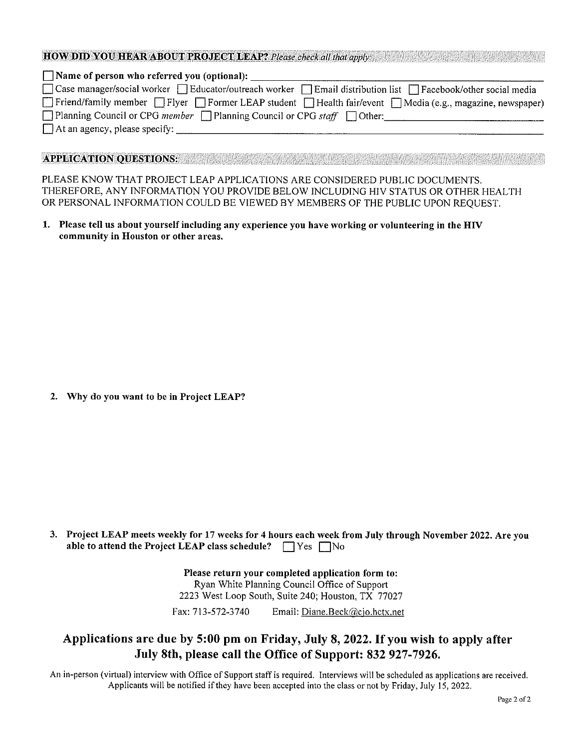#### **HOW DID YOU HEAR ABOUT PROJECT LEAP?** Please check all that apply.

| Name of person who referred you (optional):                                                                                           |
|---------------------------------------------------------------------------------------------------------------------------------------|
| □ Case manager/social worker □ Educator/outreach worker □ Email distribution list □ Facebook/other social media                       |
| $\Box$ Friend/family member $\Box$ Flyer $\Box$ Former LEAP student $\Box$ Health fair/event $\Box$ Media (e.g., magazine, newspaper) |
| $\Box$ Planning Council or CPG member $\Box$ Planning Council or CPG staff $\Box$ Other:                                              |
| $\Box$ At an agency, please specify:                                                                                                  |
|                                                                                                                                       |

#### **APPLICATION OUESTIONS:**

PLEASE KNOW THAT PROJECT LEAP APPLICATIONS ARE CONSIDERED PUBLIC DOCUMENTS. THEREFORE, ANY INFORMATION YOU PROVIDE BELOW INCLUDING HIV STATUS OR OTHER HEALTH OR PERSONAL INFORMATION COULD BE VIEWED BY MEMBERS OF THE PUBLIC UPON REQUEST.

1. Please tell us about yourself including any experience you have working or volunteering in the HIV community in Houston or other areas.

2. Why do you want to be in Project LEAP?

3. Project LEAP meets weekly for 17 weeks for 4 hours each week from July through November 2022. Are you able to attend the Project LEAP class schedule?  $\Box$  Yes  $\Box$  No

> Please return your completed application form to: Ryan White Planning Council Office of Support 2223 West Loop South, Suite 240; Houston, TX 77027

Fax: 713-572-3740 Email: Diane.Beck@cjo.hctx.net

#### Applications are due by 5:00 pm on Friday, July 8, 2022. If you wish to apply after July 8th, please call the Office of Support: 832 927-7926.

An in-person (virtual) interview with Office of Support staff is required. Interviews will be scheduled as applications are received. Applicants will be notified if they have been accepted into the class or not by Friday, July 15, 2022.